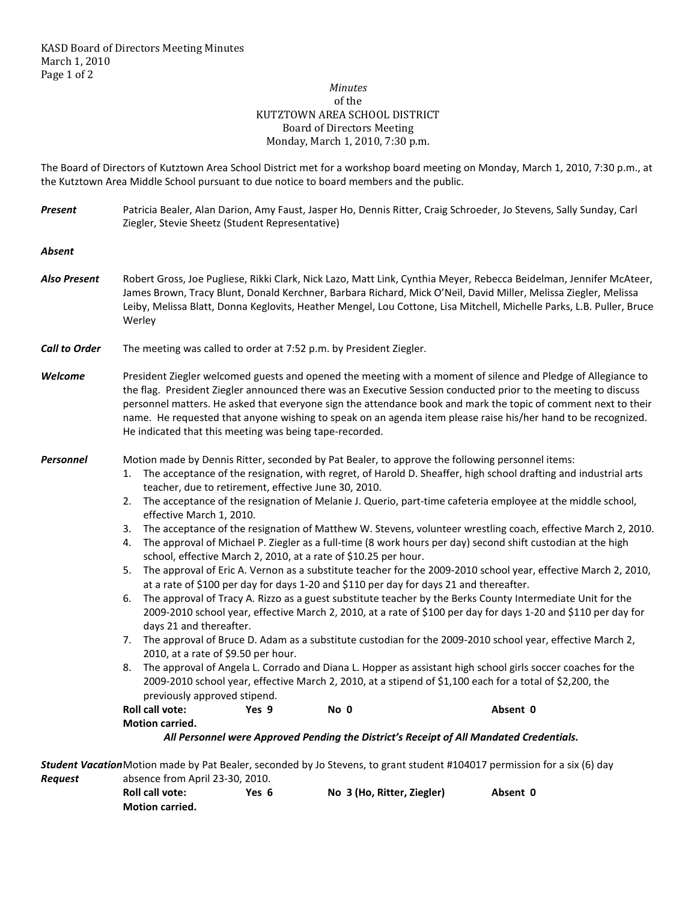## *Minutes*  of the KUTZTOWN AREA SCHOOL DISTRICT Board of Directors Meeting Monday, March 1, 2010, 7:30 p.m.

The Board of Directors of Kutztown Area School District met for a workshop board meeting on Monday, March 1, 2010, 7:30 p.m., at the Kutztown Area Middle School pursuant to due notice to board members and the public.

| <b>Present</b>       | Patricia Bealer, Alan Darion, Amy Faust, Jasper Ho, Dennis Ritter, Craig Schroeder, Jo Stevens, Sally Sunday, Carl<br>Ziegler, Stevie Sheetz (Student Representative)                                                                                                                                                                                                                                                                                                                                                                                                                                                                                                                                                                                                                                                                                                                                                                                                                                                                                                                                                                                                                                                                                                                                                                                                                                                                                                                                                                                                                                                                                                                                                                                                                                                             |  |  |  |  |
|----------------------|-----------------------------------------------------------------------------------------------------------------------------------------------------------------------------------------------------------------------------------------------------------------------------------------------------------------------------------------------------------------------------------------------------------------------------------------------------------------------------------------------------------------------------------------------------------------------------------------------------------------------------------------------------------------------------------------------------------------------------------------------------------------------------------------------------------------------------------------------------------------------------------------------------------------------------------------------------------------------------------------------------------------------------------------------------------------------------------------------------------------------------------------------------------------------------------------------------------------------------------------------------------------------------------------------------------------------------------------------------------------------------------------------------------------------------------------------------------------------------------------------------------------------------------------------------------------------------------------------------------------------------------------------------------------------------------------------------------------------------------------------------------------------------------------------------------------------------------|--|--|--|--|
| <b>Absent</b>        |                                                                                                                                                                                                                                                                                                                                                                                                                                                                                                                                                                                                                                                                                                                                                                                                                                                                                                                                                                                                                                                                                                                                                                                                                                                                                                                                                                                                                                                                                                                                                                                                                                                                                                                                                                                                                                   |  |  |  |  |
| <b>Also Present</b>  | Robert Gross, Joe Pugliese, Rikki Clark, Nick Lazo, Matt Link, Cynthia Meyer, Rebecca Beidelman, Jennifer McAteer,<br>James Brown, Tracy Blunt, Donald Kerchner, Barbara Richard, Mick O'Neil, David Miller, Melissa Ziegler, Melissa<br>Leiby, Melissa Blatt, Donna Keglovits, Heather Mengel, Lou Cottone, Lisa Mitchell, Michelle Parks, L.B. Puller, Bruce<br>Werley                                                                                                                                                                                                                                                                                                                                                                                                                                                                                                                                                                                                                                                                                                                                                                                                                                                                                                                                                                                                                                                                                                                                                                                                                                                                                                                                                                                                                                                          |  |  |  |  |
| <b>Call to Order</b> | The meeting was called to order at 7:52 p.m. by President Ziegler.                                                                                                                                                                                                                                                                                                                                                                                                                                                                                                                                                                                                                                                                                                                                                                                                                                                                                                                                                                                                                                                                                                                                                                                                                                                                                                                                                                                                                                                                                                                                                                                                                                                                                                                                                                |  |  |  |  |
| Welcome              | President Ziegler welcomed guests and opened the meeting with a moment of silence and Pledge of Allegiance to<br>the flag. President Ziegler announced there was an Executive Session conducted prior to the meeting to discuss<br>personnel matters. He asked that everyone sign the attendance book and mark the topic of comment next to their<br>name. He requested that anyone wishing to speak on an agenda item please raise his/her hand to be recognized.<br>He indicated that this meeting was being tape-recorded.                                                                                                                                                                                                                                                                                                                                                                                                                                                                                                                                                                                                                                                                                                                                                                                                                                                                                                                                                                                                                                                                                                                                                                                                                                                                                                     |  |  |  |  |
| Personnel            | Motion made by Dennis Ritter, seconded by Pat Bealer, to approve the following personnel items:<br>The acceptance of the resignation, with regret, of Harold D. Sheaffer, high school drafting and industrial arts<br>1.<br>teacher, due to retirement, effective June 30, 2010.<br>The acceptance of the resignation of Melanie J. Querio, part-time cafeteria employee at the middle school,<br>2.<br>effective March 1, 2010.<br>The acceptance of the resignation of Matthew W. Stevens, volunteer wrestling coach, effective March 2, 2010.<br>3.<br>The approval of Michael P. Ziegler as a full-time (8 work hours per day) second shift custodian at the high<br>4.<br>school, effective March 2, 2010, at a rate of \$10.25 per hour.<br>5.<br>The approval of Eric A. Vernon as a substitute teacher for the 2009-2010 school year, effective March 2, 2010,<br>at a rate of \$100 per day for days 1-20 and \$110 per day for days 21 and thereafter.<br>6.<br>The approval of Tracy A. Rizzo as a guest substitute teacher by the Berks County Intermediate Unit for the<br>2009-2010 school year, effective March 2, 2010, at a rate of \$100 per day for days 1-20 and \$110 per day for<br>days 21 and thereafter.<br>The approval of Bruce D. Adam as a substitute custodian for the 2009-2010 school year, effective March 2,<br>7.<br>2010, at a rate of \$9.50 per hour.<br>The approval of Angela L. Corrado and Diana L. Hopper as assistant high school girls soccer coaches for the<br>8.<br>2009-2010 school year, effective March 2, 2010, at a stipend of \$1,100 each for a total of \$2,200, the<br>previously approved stipend.<br>Roll call vote:<br>Absent 0<br>Yes 9<br>No 0<br><b>Motion carried.</b><br>All Personnel were Approved Pending the District's Receipt of All Mandated Credentials. |  |  |  |  |
|                      | Student Vacation Motion made by Pat Bealer, seconded by Jo Stevens, to grant student #104017 permission for a six (6) day                                                                                                                                                                                                                                                                                                                                                                                                                                                                                                                                                                                                                                                                                                                                                                                                                                                                                                                                                                                                                                                                                                                                                                                                                                                                                                                                                                                                                                                                                                                                                                                                                                                                                                         |  |  |  |  |
| <b>Request</b>       | absence from April 23-30, 2010.                                                                                                                                                                                                                                                                                                                                                                                                                                                                                                                                                                                                                                                                                                                                                                                                                                                                                                                                                                                                                                                                                                                                                                                                                                                                                                                                                                                                                                                                                                                                                                                                                                                                                                                                                                                                   |  |  |  |  |

| <b>Roll call vote:</b> | Yes 6 | No 3 (Ho, Ritter, Ziegler) | Absent 0 |
|------------------------|-------|----------------------------|----------|
| <b>Motion carried.</b> |       |                            |          |